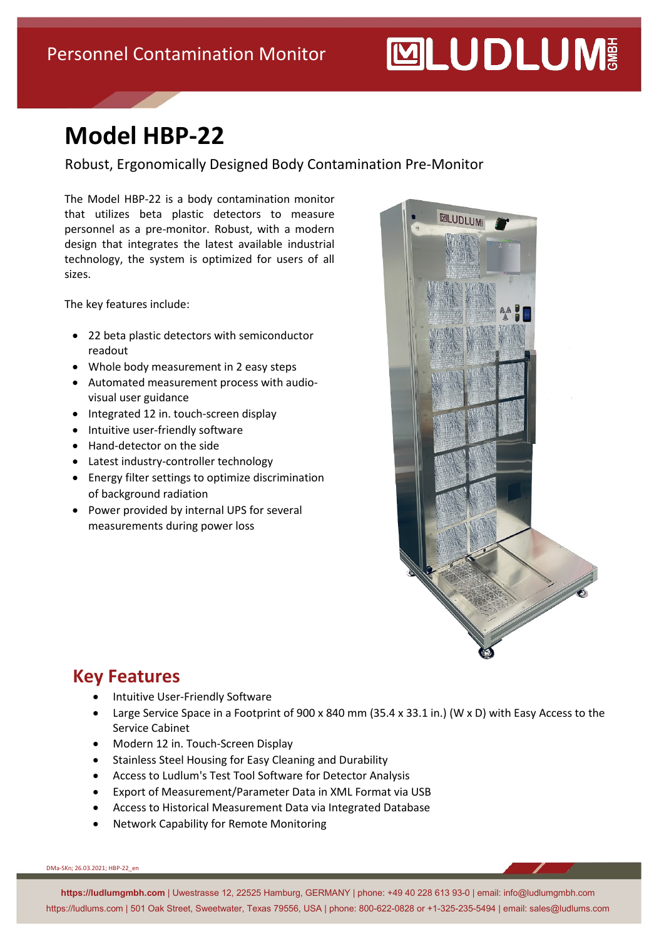## **MUDLUM**

### **Model HBP-22**

Robust, Ergonomically Designed Body Contamination Pre-Monitor

The Model HBP-22 is a body contamination monitor that utilizes beta plastic detectors to measure personnel as a pre-monitor. Robust, with a modern design that integrates the latest available industrial technology, the system is optimized for users of all sizes.

The key features include:

- 22 beta plastic detectors with semiconductor readout
- Whole body measurement in 2 easy steps
- Automated measurement process with audiovisual user guidance
- Integrated 12 in. touch-screen display
- Intuitive user-friendly software
- Hand-detector on the side
- Latest industry-controller technology
- Energy filter settings to optimize discrimination of background radiation
- Power provided by internal UPS for several measurements during power loss



#### **Key Features**

- Intuitive User-Friendly Software
- Large Service Space in a Footprint of 900 x 840 mm (35.4 x 33.1 in.) (W x D) with Easy Access to the Service Cabinet
- Modern 12 in. Touch-Screen Display
- Stainless Steel Housing for Easy Cleaning and Durability
- Access to Ludlum's Test Tool Software for Detector Analysis
- Export of Measurement/Parameter Data in XML Format via USB
- Access to Historical Measurement Data via Integrated Database
- Network Capability for Remote Monitoring

DMa-SKn; 26.03.2021; HBP-22\_en

**https://ludlumgmbh.com** | Uwestrasse 12, 22525 Hamburg, GERMANY | phone: +49 40 228 613 93-0 | email: info@ludlumgmbh.com https://ludlums.com | 501 Oak Street, Sweetwater, Texas 79556, USA | phone: 800-622-0828 or +1-325-235-5494 | email: sales@ludlums.com